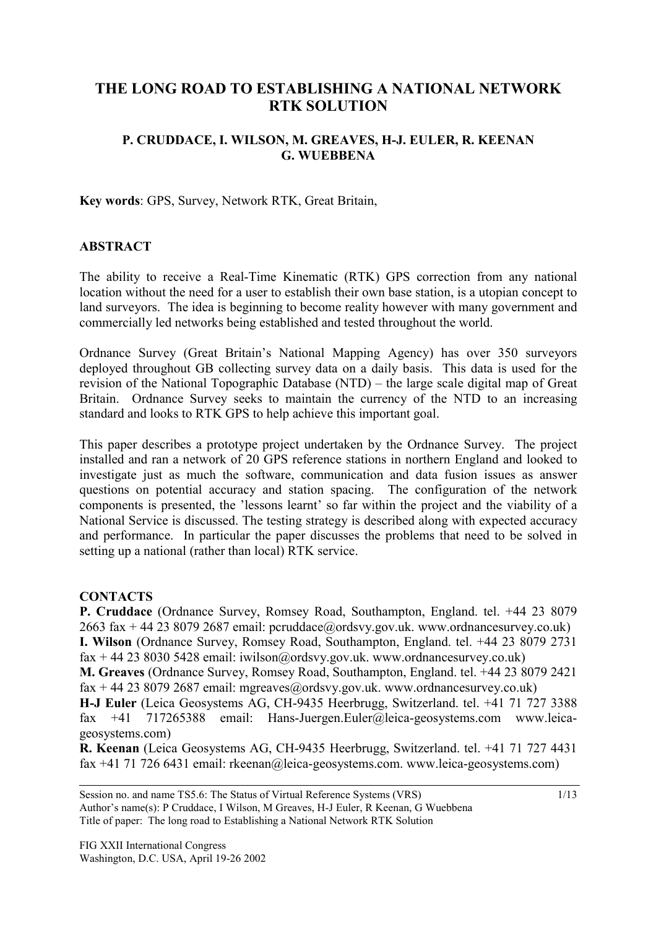# **THE LONG ROAD TO ESTABLISHING A NATIONAL NETWORK RTK SOLUTION**

### **P. CRUDDACE, I. WILSON, M. GREAVES, H-J. EULER, R. KEENAN G. WUEBBENA**

**Key words**: GPS, Survey, Network RTK, Great Britain,

#### **ABSTRACT**

The ability to receive a Real-Time Kinematic (RTK) GPS correction from any national location without the need for a user to establish their own base station, is a utopian concept to land surveyors. The idea is beginning to become reality however with many government and commercially led networks being established and tested throughout the world.

Ordnance Survey (Great Britain's National Mapping Agency) has over 350 surveyors deployed throughout GB collecting survey data on a daily basis. This data is used for the revision of the National Topographic Database (NTD) – the large scale digital map of Great Britain. Ordnance Survey seeks to maintain the currency of the NTD to an increasing standard and looks to RTK GPS to help achieve this important goal.

This paper describes a prototype project undertaken by the Ordnance Survey. The project installed and ran a network of 20 GPS reference stations in northern England and looked to investigate just as much the software, communication and data fusion issues as answer questions on potential accuracy and station spacing. The configuration of the network components is presented, the 'lessons learnt' so far within the project and the viability of a National Service is discussed. The testing strategy is described along with expected accuracy and performance. In particular the paper discusses the problems that need to be solved in setting up a national (rather than local) RTK service.

#### **CONTACTS**

**P. Cruddace** (Ordnance Survey, Romsey Road, Southampton, England. tel. +44 23 8079 2663 fax  $+$  44 23 8079 2687 email: pcruddace@ordsvy.gov.uk. www.ordnancesurvey.co.uk) **I. Wilson** (Ordnance Survey, Romsey Road, Southampton, England. tel. +44 23 8079 2731 fax + 44 23 8030 5428 email: iwilson@ordsvy.gov.uk. www.ordnancesurvey.co.uk) **M. Greaves** (Ordnance Survey, Romsey Road, Southampton, England. tel. +44 23 8079 2421 fax + 44 23 8079 2687 email: mgreaves@ordsvy.gov.uk. www.ordnancesurvey.co.uk)

**H-J Euler** (Leica Geosystems AG, CH-9435 Heerbrugg, Switzerland. tel. +41 71 727 3388 fax +41 717265388 email: Hans-Juergen.Euler@leica-geosystems.com www.leicageosystems.com)

**R. Keenan** (Leica Geosystems AG, CH-9435 Heerbrugg, Switzerland. tel. +41 71 727 4431 fax +41 71 726 6431 email: rkeenan@leica-geosystems.com. www.leica-geosystems.com)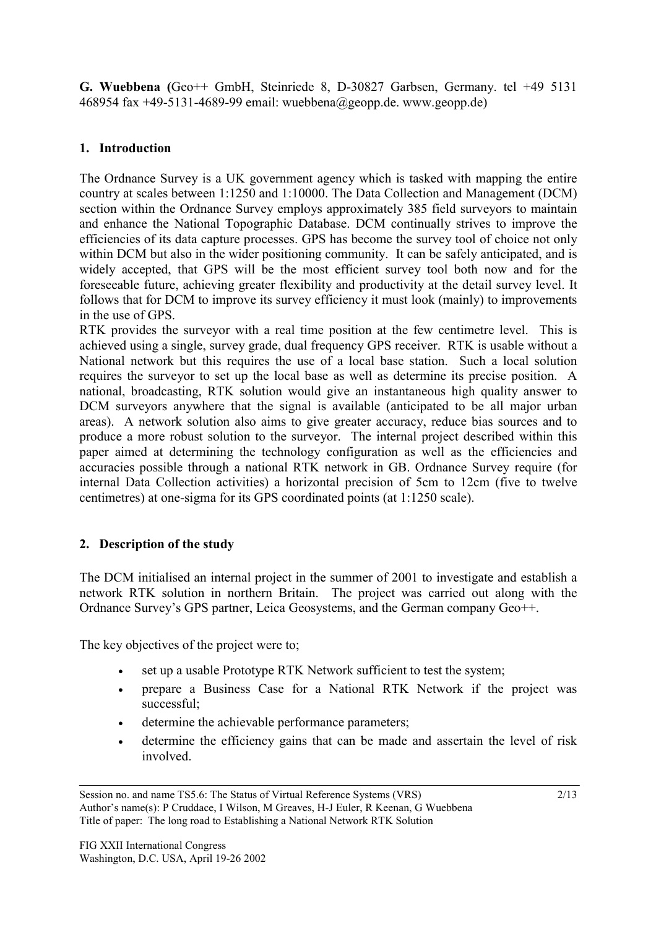**G. Wuebbena (**Geo++ GmbH, Steinriede 8, D-30827 Garbsen, Germany. tel +49 5131 468954 fax +49-5131-4689-99 email: wuebbena@geopp.de. www.geopp.de)

## **1. Introduction**

The Ordnance Survey is a UK government agency which is tasked with mapping the entire country at scales between 1:1250 and 1:10000. The Data Collection and Management (DCM) section within the Ordnance Survey employs approximately 385 field surveyors to maintain and enhance the National Topographic Database. DCM continually strives to improve the efficiencies of its data capture processes. GPS has become the survey tool of choice not only within DCM but also in the wider positioning community. It can be safely anticipated, and is widely accepted, that GPS will be the most efficient survey tool both now and for the foreseeable future, achieving greater flexibility and productivity at the detail survey level. It follows that for DCM to improve its survey efficiency it must look (mainly) to improvements in the use of GPS.

RTK provides the surveyor with a real time position at the few centimetre level. This is achieved using a single, survey grade, dual frequency GPS receiver. RTK is usable without a National network but this requires the use of a local base station. Such a local solution requires the surveyor to set up the local base as well as determine its precise position. A national, broadcasting, RTK solution would give an instantaneous high quality answer to DCM surveyors anywhere that the signal is available (anticipated to be all major urban areas). A network solution also aims to give greater accuracy, reduce bias sources and to produce a more robust solution to the surveyor. The internal project described within this paper aimed at determining the technology configuration as well as the efficiencies and accuracies possible through a national RTK network in GB. Ordnance Survey require (for internal Data Collection activities) a horizontal precision of 5cm to 12cm (five to twelve centimetres) at one-sigma for its GPS coordinated points (at 1:1250 scale).

### **2. Description of the study**

The DCM initialised an internal project in the summer of 2001 to investigate and establish a network RTK solution in northern Britain. The project was carried out along with the Ordnance Survey's GPS partner, Leica Geosystems, and the German company Geo++.

The key objectives of the project were to;

- set up a usable Prototype RTK Network sufficient to test the system;
- prepare a Business Case for a National RTK Network if the project was successful;
- determine the achievable performance parameters;
- determine the efficiency gains that can be made and assertain the level of risk involved.

Session no. and name TS5.6: The Status of Virtual Reference Systems (VRS) Author's name(s): P Cruddace, I Wilson, M Greaves, H-J Euler, R Keenan, G Wuebbena Title of paper: The long road to Establishing a National Network RTK Solution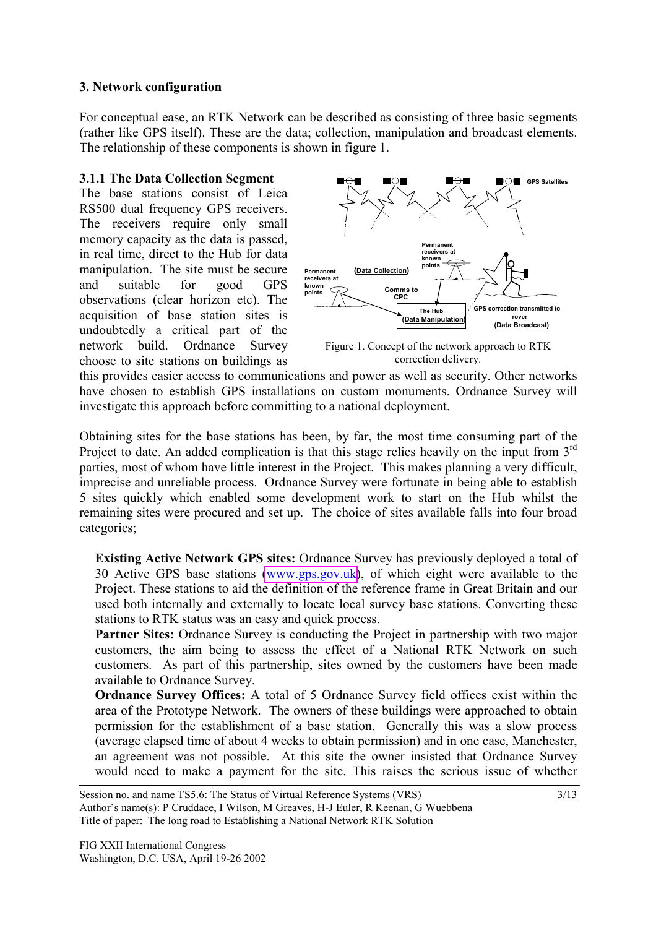#### **3. Network configuration**

For conceptual ease, an RTK Network can be described as consisting of three basic segments (rather like GPS itself). These are the data; collection, manipulation and broadcast elements. The relationship of these components is shown in figure 1.

### **3.1.1 The Data Collection Segment**

The base stations consist of Leica RS500 dual frequency GPS receivers. The receivers require only small memory capacity as the data is passed, in real time, direct to the Hub for data manipulation. The site must be secure and suitable for good GPS observations (clear horizon etc). The acquisition of base station sites is undoubtedly a critical part of the network build. Ordnance Survey choose to site stations on buildings as



Figure 1. Concept of the network approach to RTK correction delivery.

this provides easier access to communications and power as well as security. Other networks have chosen to establish GPS installations on custom monuments. Ordnance Survey will investigate this approach before committing to a national deployment.

Obtaining sites for the base stations has been, by far, the most time consuming part of the Project to date. An added complication is that this stage relies heavily on the input from 3<sup>rd</sup> parties, most of whom have little interest in the Project. This makes planning a very difficult, imprecise and unreliable process. Ordnance Survey were fortunate in being able to establish 5 sites quickly which enabled some development work to start on the Hub whilst the remaining sites were procured and set up. The choice of sites available falls into four broad categories;

**Existing Active Network GPS sites:** Ordnance Survey has previously deployed a total of 30 Active GPS base stations [\(www.gps.gov.uk\)](http://www.gps.gov.uk/), of which eight were available to the Project. These stations to aid the definition of the reference frame in Great Britain and our used both internally and externally to locate local survey base stations. Converting these stations to RTK status was an easy and quick process.

**Partner Sites:** Ordnance Survey is conducting the Project in partnership with two major customers, the aim being to assess the effect of a National RTK Network on such customers. As part of this partnership, sites owned by the customers have been made available to Ordnance Survey.

**Ordnance Survey Offices:** A total of 5 Ordnance Survey field offices exist within the area of the Prototype Network. The owners of these buildings were approached to obtain permission for the establishment of a base station. Generally this was a slow process (average elapsed time of about 4 weeks to obtain permission) and in one case, Manchester, an agreement was not possible. At this site the owner insisted that Ordnance Survey would need to make a payment for the site. This raises the serious issue of whether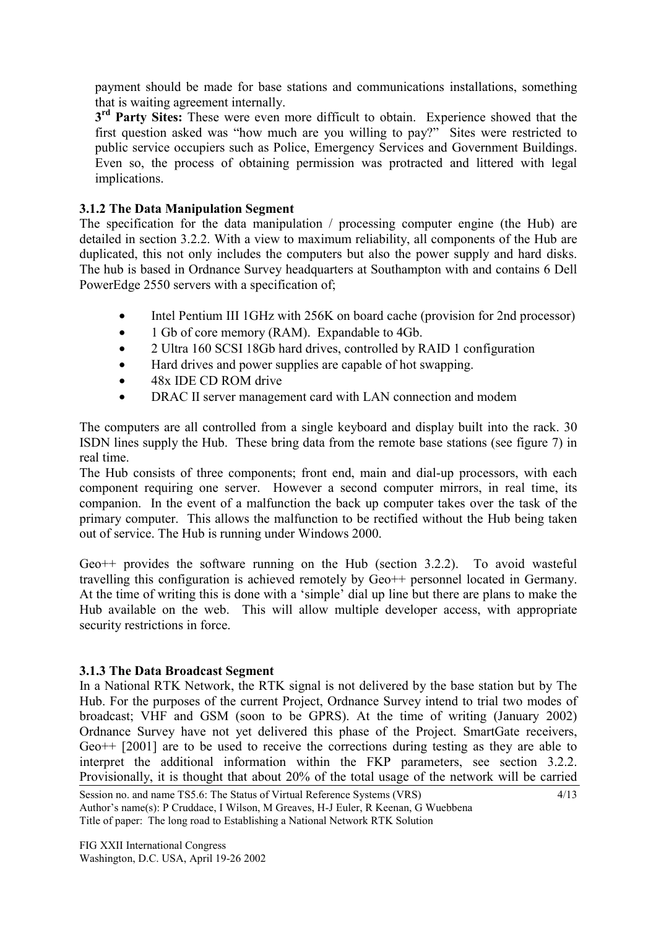payment should be made for base stations and communications installations, something that is waiting agreement internally.

**3rd Party Sites:** These were even more difficult to obtain. Experience showed that the first question asked was "how much are you willing to pay?" Sites were restricted to public service occupiers such as Police, Emergency Services and Government Buildings. Even so, the process of obtaining permission was protracted and littered with legal implications.

## **3.1.2 The Data Manipulation Segment**

The specification for the data manipulation / processing computer engine (the Hub) are detailed in section 3.2.2. With a view to maximum reliability, all components of the Hub are duplicated, this not only includes the computers but also the power supply and hard disks. The hub is based in Ordnance Survey headquarters at Southampton with and contains 6 Dell PowerEdge 2550 servers with a specification of;

- Intel Pentium III 1GHz with 256K on board cache (provision for 2nd processor)
- 1 Gb of core memory (RAM). Expandable to 4Gb.
- 2 Ultra 160 SCSI 18Gb hard drives, controlled by RAID 1 configuration
- Hard drives and power supplies are capable of hot swapping.
- 48x IDE CD ROM drive
- DRAC II server management card with LAN connection and modem

The computers are all controlled from a single keyboard and display built into the rack. 30 ISDN lines supply the Hub. These bring data from the remote base stations (see figure 7) in real time.

The Hub consists of three components; front end, main and dial-up processors, with each component requiring one server. However a second computer mirrors, in real time, its companion. In the event of a malfunction the back up computer takes over the task of the primary computer. This allows the malfunction to be rectified without the Hub being taken out of service. The Hub is running under Windows 2000.

Geo++ provides the software running on the Hub (section 3.2.2). To avoid wasteful travelling this configuration is achieved remotely by Geo++ personnel located in Germany. At the time of writing this is done with a 'simple' dial up line but there are plans to make the Hub available on the web. This will allow multiple developer access, with appropriate security restrictions in force.

## **3.1.3 The Data Broadcast Segment**

In a National RTK Network, the RTK signal is not delivered by the base station but by The Hub. For the purposes of the current Project, Ordnance Survey intend to trial two modes of broadcast; VHF and GSM (soon to be GPRS). At the time of writing (January 2002) Ordnance Survey have not yet delivered this phase of the Project. SmartGate receivers, Geo++ [2001] are to be used to receive the corrections during testing as they are able to interpret the additional information within the FKP parameters, see section 3.2.2. Provisionally, it is thought that about 20% of the total usage of the network will be carried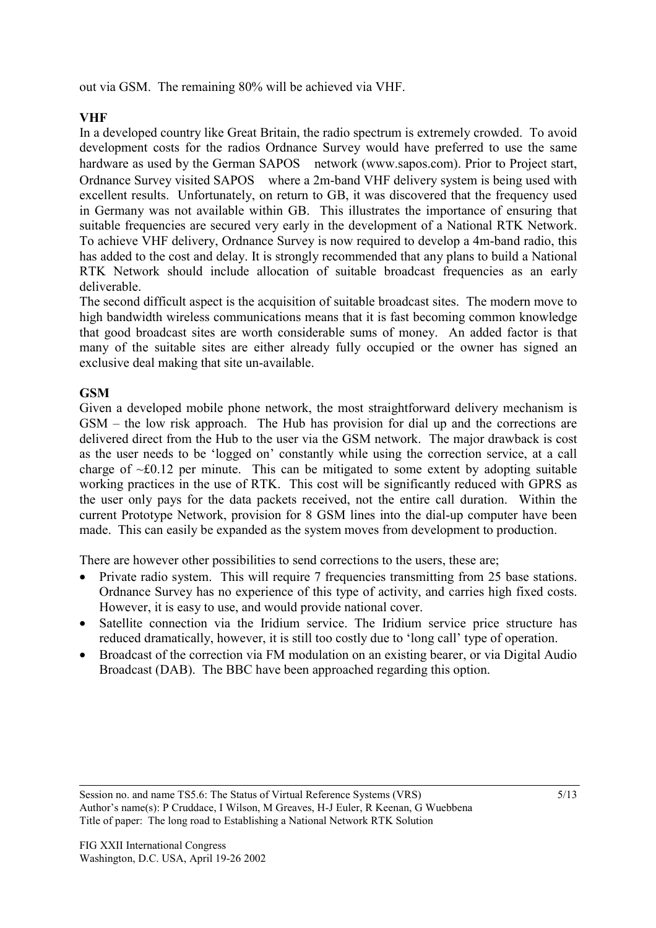out via GSM. The remaining 80% will be achieved via VHF.

## **VHF**

In a developed country like Great Britain, the radio spectrum is extremely crowded. To avoid development costs for the radios Ordnance Survey would have preferred to use the same hardware as used by the German SAPOS network (www.sapos.com). Prior to Project start, Ordnance Survey visited SAPOS where a 2m-band VHF delivery system is being used with excellent results. Unfortunately, on return to GB, it was discovered that the frequency used in Germany was not available within GB. This illustrates the importance of ensuring that suitable frequencies are secured very early in the development of a National RTK Network. To achieve VHF delivery, Ordnance Survey is now required to develop a 4m-band radio, this has added to the cost and delay. It is strongly recommended that any plans to build a National RTK Network should include allocation of suitable broadcast frequencies as an early deliverable.

The second difficult aspect is the acquisition of suitable broadcast sites. The modern move to high bandwidth wireless communications means that it is fast becoming common knowledge that good broadcast sites are worth considerable sums of money. An added factor is that many of the suitable sites are either already fully occupied or the owner has signed an exclusive deal making that site un-available.

## **GSM**

Given a developed mobile phone network, the most straightforward delivery mechanism is GSM – the low risk approach. The Hub has provision for dial up and the corrections are delivered direct from the Hub to the user via the GSM network. The major drawback is cost as the user needs to be 'logged on' constantly while using the correction service, at a call charge of  $\sim$  £0.12 per minute. This can be mitigated to some extent by adopting suitable working practices in the use of RTK. This cost will be significantly reduced with GPRS as the user only pays for the data packets received, not the entire call duration. Within the current Prototype Network, provision for 8 GSM lines into the dial-up computer have been made. This can easily be expanded as the system moves from development to production.

There are however other possibilities to send corrections to the users, these are;

- Private radio system. This will require 7 frequencies transmitting from 25 base stations. Ordnance Survey has no experience of this type of activity, and carries high fixed costs. However, it is easy to use, and would provide national cover.
- Satellite connection via the Iridium service. The Iridium service price structure has reduced dramatically, however, it is still too costly due to 'long call' type of operation.
- Broadcast of the correction via FM modulation on an existing bearer, or via Digital Audio Broadcast (DAB). The BBC have been approached regarding this option.

Session no. and name TS5.6: The Status of Virtual Reference Systems (VRS) Author's name(s): P Cruddace, I Wilson, M Greaves, H-J Euler, R Keenan, G Wuebbena Title of paper: The long road to Establishing a National Network RTK Solution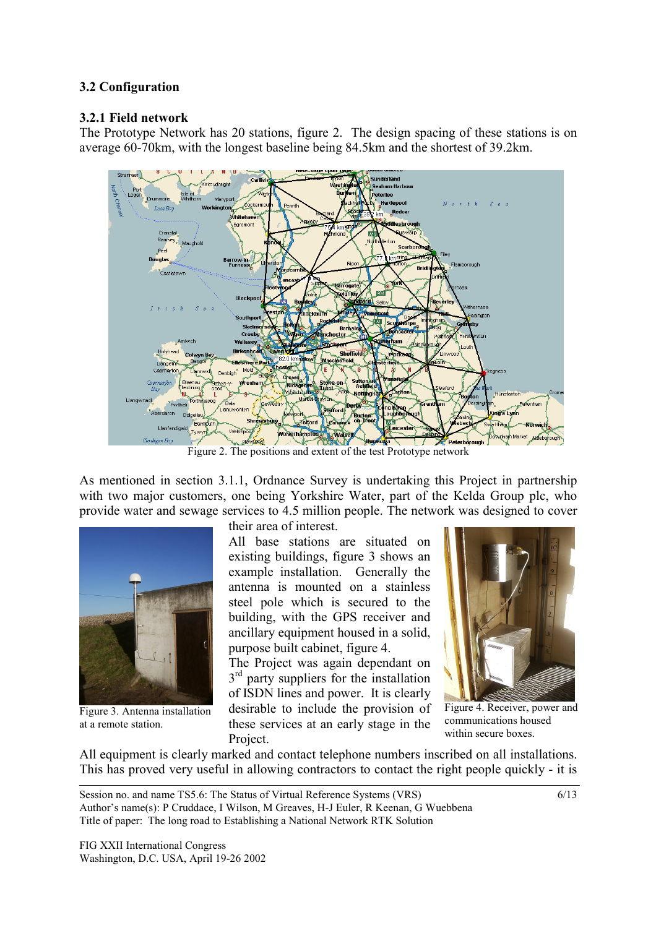### **3.2 Configuration**

#### **3.2.1 Field network**

The Prototype Network has 20 stations, figure 2. The design spacing of these stations is on average 60-70km, with the longest baseline being 84.5km and the shortest of 39.2km.



Figure 2. The positions and extent of the test Prototype network

As mentioned in section 3.1.1, Ordnance Survey is undertaking this Project in partnership with two major customers, one being Yorkshire Water, part of the Kelda Group plc, who provide water and sewage services to 4.5 million people. The network was designed to cover



Figure 3. Antenna installation at a remote station.

their area of interest.

All base stations are situated on existing buildings, figure 3 shows an example installation. Generally the antenna is mounted on a stainless steel pole which is secured to the building, with the GPS receiver and ancillary equipment housed in a solid, purpose built cabinet, figure 4.

The Project was again dependant on  $3<sup>rd</sup>$  party suppliers for the installation of ISDN lines and power. It is clearly desirable to include the provision of these services at an early stage in the Project.



Figure 4. Receiver, power and communications housed within secure boxes.

All equipment is clearly marked and contact telephone numbers inscribed on all installations. This has proved very useful in allowing contractors to contact the right people quickly - it is

Session no. and name TS5.6: The Status of Virtual Reference Systems (VRS) Author's name(s): P Cruddace, I Wilson, M Greaves, H-J Euler, R Keenan, G Wuebbena Title of paper: The long road to Establishing a National Network RTK Solution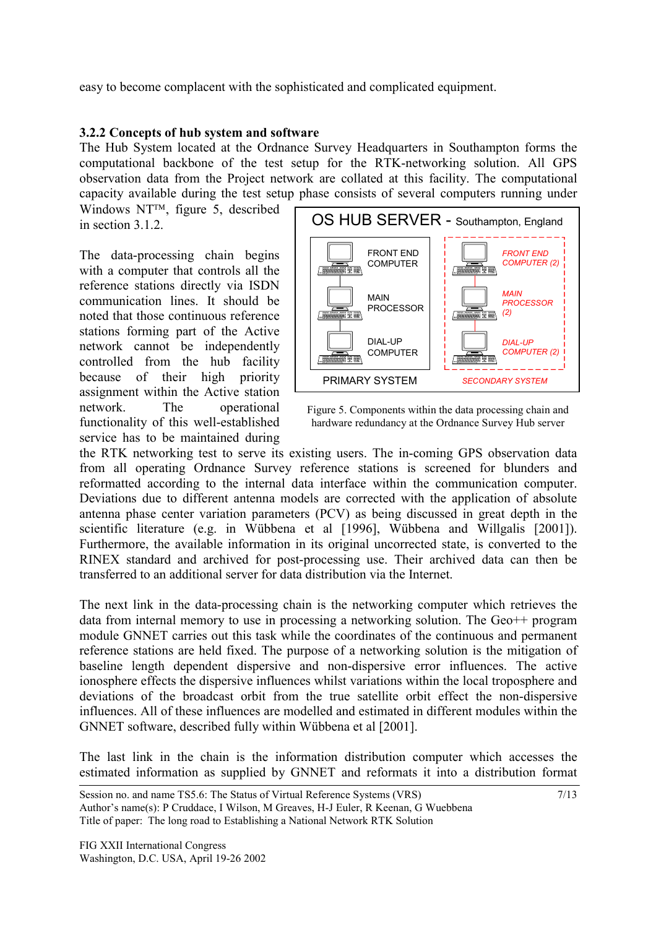easy to become complacent with the sophisticated and complicated equipment.

### **3.2.2 Concepts of hub system and software**

The Hub System located at the Ordnance Survey Headquarters in Southampton forms the computational backbone of the test setup for the RTK-networking solution. All GPS observation data from the Project network are collated at this facility. The computational capacity available during the test setup phase consists of several computers running under

Windows  $NT^{TM}$ , figure 5, described in section 3.1.2.

The data-processing chain begins with a computer that controls all the reference stations directly via ISDN communication lines. It should be noted that those continuous reference stations forming part of the Active network cannot be independently controlled from the hub facility because of their high priority assignment within the Active station network. The operational functionality of this well-established service has to be maintained during



Figure 5. Components within the data processing chain and hardware redundancy at the Ordnance Survey Hub server

the RTK networking test to serve its existing users. The in-coming GPS observation data from all operating Ordnance Survey reference stations is screened for blunders and reformatted according to the internal data interface within the communication computer. Deviations due to different antenna models are corrected with the application of absolute antenna phase center variation parameters (PCV) as being discussed in great depth in the scientific literature (e.g. in Wübbena et al [1996], Wübbena and Willgalis [2001]). Furthermore, the available information in its original uncorrected state, is converted to the RINEX standard and archived for post-processing use. Their archived data can then be transferred to an additional server for data distribution via the Internet.

The next link in the data-processing chain is the networking computer which retrieves the data from internal memory to use in processing a networking solution. The Geo++ program module GNNET carries out this task while the coordinates of the continuous and permanent reference stations are held fixed. The purpose of a networking solution is the mitigation of baseline length dependent dispersive and non-dispersive error influences. The active ionosphere effects the dispersive influences whilst variations within the local troposphere and deviations of the broadcast orbit from the true satellite orbit effect the non-dispersive influences. All of these influences are modelled and estimated in different modules within the GNNET software, described fully within Wübbena et al [2001].

The last link in the chain is the information distribution computer which accesses the estimated information as supplied by GNNET and reformats it into a distribution format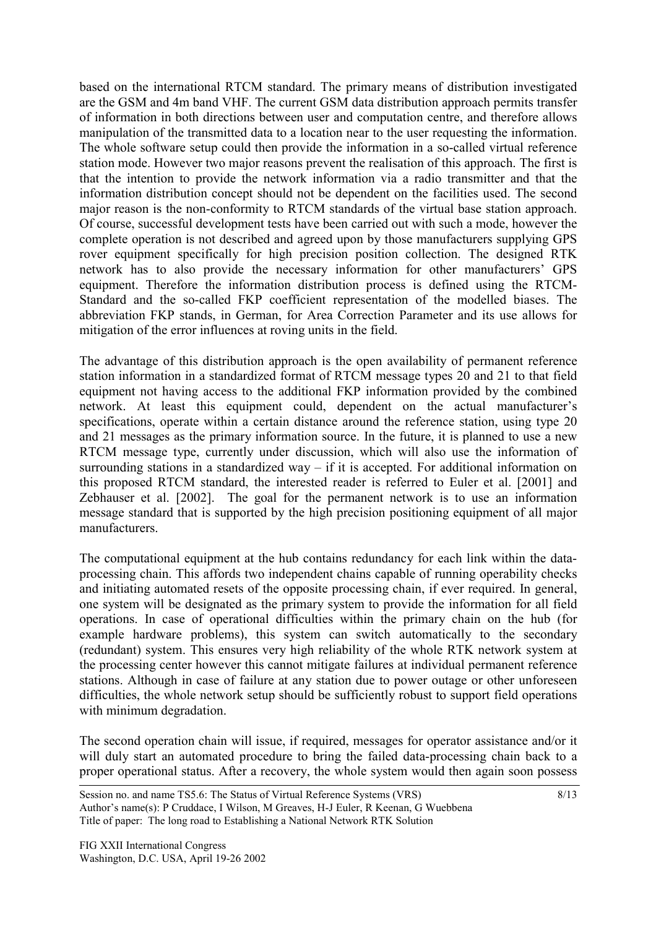based on the international RTCM standard. The primary means of distribution investigated are the GSM and 4m band VHF. The current GSM data distribution approach permits transfer of information in both directions between user and computation centre, and therefore allows manipulation of the transmitted data to a location near to the user requesting the information. The whole software setup could then provide the information in a so-called virtual reference station mode. However two major reasons prevent the realisation of this approach. The first is that the intention to provide the network information via a radio transmitter and that the information distribution concept should not be dependent on the facilities used. The second major reason is the non-conformity to RTCM standards of the virtual base station approach. Of course, successful development tests have been carried out with such a mode, however the complete operation is not described and agreed upon by those manufacturers supplying GPS rover equipment specifically for high precision position collection. The designed RTK network has to also provide the necessary information for other manufacturers' GPS equipment. Therefore the information distribution process is defined using the RTCM-Standard and the so-called FKP coefficient representation of the modelled biases. The abbreviation FKP stands, in German, for Area Correction Parameter and its use allows for mitigation of the error influences at roving units in the field.

The advantage of this distribution approach is the open availability of permanent reference station information in a standardized format of RTCM message types 20 and 21 to that field equipment not having access to the additional FKP information provided by the combined network. At least this equipment could, dependent on the actual manufacturer's specifications, operate within a certain distance around the reference station, using type 20 and 21 messages as the primary information source. In the future, it is planned to use a new RTCM message type, currently under discussion, which will also use the information of surrounding stations in a standardized way  $-$  if it is accepted. For additional information on this proposed RTCM standard, the interested reader is referred to Euler et al. [2001] and Zebhauser et al. [2002]. The goal for the permanent network is to use an information message standard that is supported by the high precision positioning equipment of all major manufacturers.

The computational equipment at the hub contains redundancy for each link within the dataprocessing chain. This affords two independent chains capable of running operability checks and initiating automated resets of the opposite processing chain, if ever required. In general, one system will be designated as the primary system to provide the information for all field operations. In case of operational difficulties within the primary chain on the hub (for example hardware problems), this system can switch automatically to the secondary (redundant) system. This ensures very high reliability of the whole RTK network system at the processing center however this cannot mitigate failures at individual permanent reference stations. Although in case of failure at any station due to power outage or other unforeseen difficulties, the whole network setup should be sufficiently robust to support field operations with minimum degradation.

The second operation chain will issue, if required, messages for operator assistance and/or it will duly start an automated procedure to bring the failed data-processing chain back to a proper operational status. After a recovery, the whole system would then again soon possess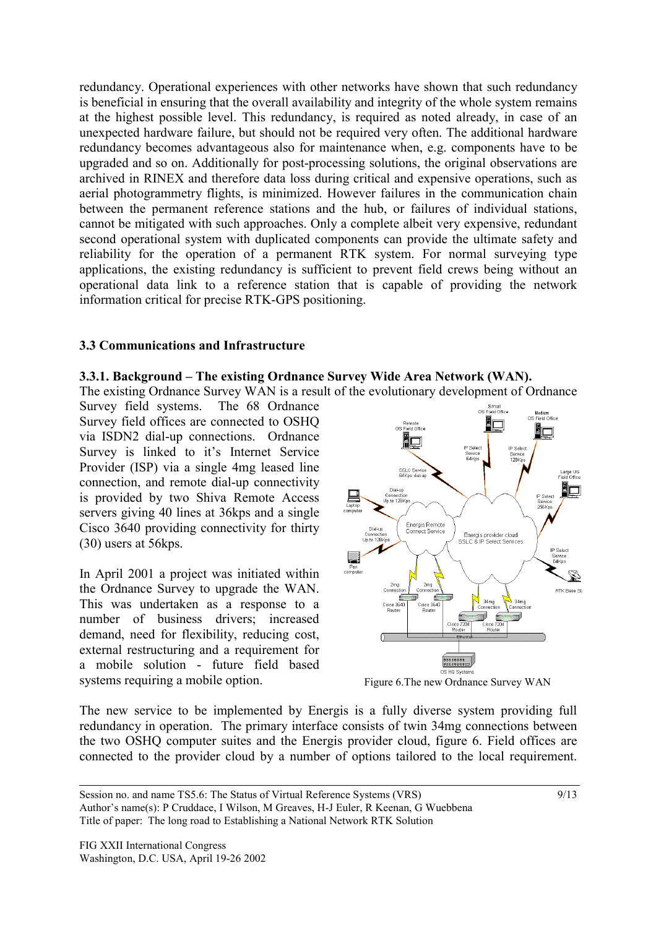redundancy. Operational experiences with other networks have shown that such redundancy is beneficial in ensuring that the overall availability and integrity of the whole system remains at the highest possible level. This redundancy, is required as noted already, in case of an unexpected hardware failure, but should not be required very often. The additional hardware redundancy becomes advantageous also for maintenance when, e.g. components have to be upgraded and so on. Additionally for post-processing solutions, the original observations are archived in RINEX and therefore data loss during critical and expensive operations, such as aerial photogrammetry flights, is minimized. However failures in the communication chain between the permanent reference stations and the hub, or failures of individual stations, cannot be mitigated with such approaches. Only a complete albeit very expensive, redundant second operational system with duplicated components can provide the ultimate safety and reliability for the operation of a permanent RTK system. For normal surveying type applications, the existing redundancy is sufficient to prevent field crews being without an operational data link to a reference station that is capable of providing the network information critical for precise RTK-GPS positioning.

### **3.3 Communications and Infrastructure**

### **3.3.1. Background – The existing Ordnance Survey Wide Area Network (WAN).**

The existing Ordnance Survey WAN is a result of the evolutionary development of Ordnance

Survey field systems. The 68 Ordnance Survey field offices are connected to OSHQ via ISDN2 dial-up connections. Ordnance Survey is linked to it's Internet Service Provider (ISP) via a single 4mg leased line connection, and remote dial-up connectivity is provided by two Shiva Remote Access servers giving 40 lines at 36kps and a single Cisco 3640 providing connectivity for thirty (30) users at 56kps.

In April 2001 a project was initiated within the Ordnance Survey to upgrade the WAN. This was undertaken as a response to a number of business drivers; increased demand, need for flexibility, reducing cost, external restructuring and a requirement for a mobile solution - future field based systems requiring a mobile option.



Figure 6.The new Ordnance Survey WAN

The new service to be implemented by Energis is a fully diverse system providing full redundancy in operation. The primary interface consists of twin 34mg connections between the two OSHQ computer suites and the Energis provider cloud, figure 6. Field offices are connected to the provider cloud by a number of options tailored to the local requirement.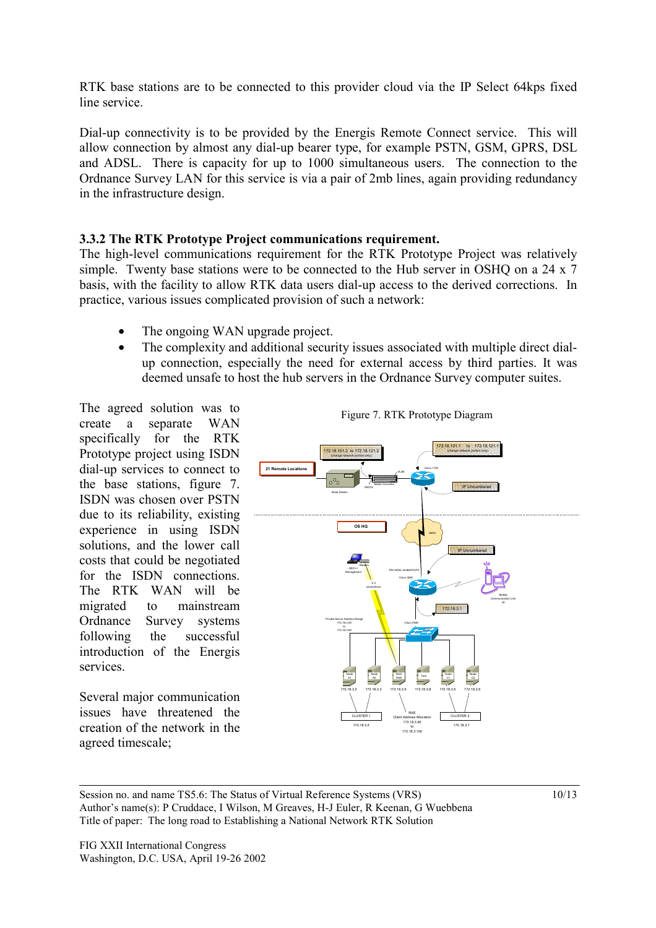RTK base stations are to be connected to this provider cloud via the IP Select 64kps fixed line service.

Dial-up connectivity is to be provided by the Energis Remote Connect service. This will allow connection by almost any dial-up bearer type, for example PSTN, GSM, GPRS, DSL and ADSL. There is capacity for up to 1000 simultaneous users. The connection to the Ordnance Survey LAN for this service is via a pair of 2mb lines, again providing redundancy in the infrastructure design.

### **3.3.2 The RTK Prototype Project communications requirement.**

The high-level communications requirement for the RTK Prototype Project was relatively simple. Twenty base stations were to be connected to the Hub server in OSHQ on a 24 x 7 basis, with the facility to allow RTK data users dial-up access to the derived corrections. In practice, various issues complicated provision of such a network:

- The ongoing WAN upgrade project.
- The complexity and additional security issues associated with multiple direct dialup connection, especially the need for external access by third parties. It was deemed unsafe to host the hub servers in the Ordnance Survey computer suites.

The agreed solution was to create a separate WAN specifically for the RTK Prototype project using ISDN dial-up services to connect to the base stations, figure 7. ISDN was chosen over PSTN due to its reliability, existing experience in using ISDN solutions, and the lower call costs that could be negotiated for the ISDN connections. The RTK WAN will be migrated to mainstream Ordnance Survey systems following the successful introduction of the Energis services.

Several major communication issues have threatened the creation of the network in the agreed timescale;





Session no. and name TS5.6: The Status of Virtual Reference Systems (VRS) Author's name(s): P Cruddace, I Wilson, M Greaves, H-J Euler, R Keenan, G Wuebbena Title of paper: The long road to Establishing a National Network RTK Solution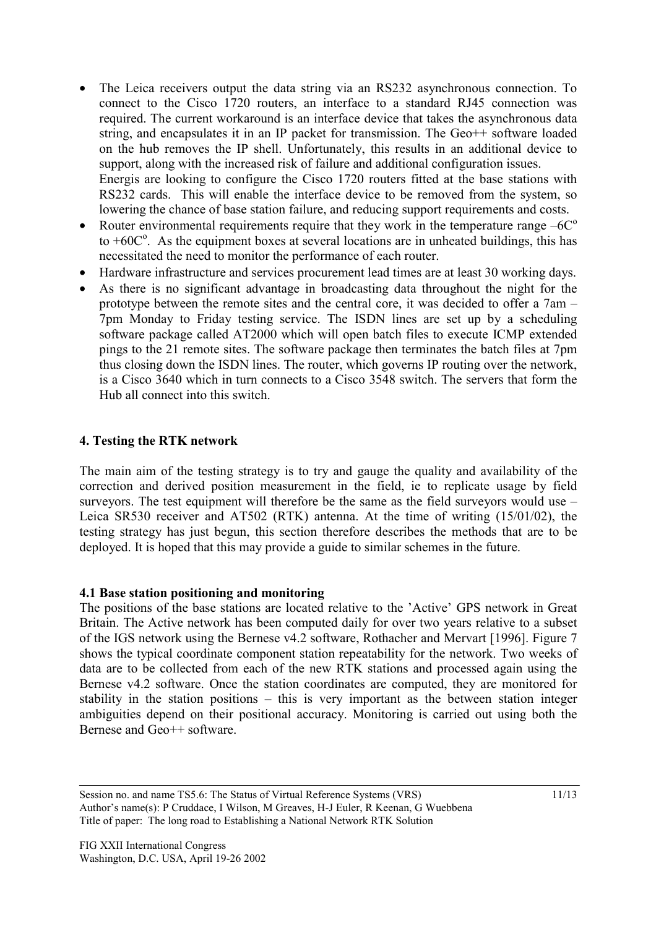- The Leica receivers output the data string via an RS232 asynchronous connection. To connect to the Cisco 1720 routers, an interface to a standard RJ45 connection was required. The current workaround is an interface device that takes the asynchronous data string, and encapsulates it in an IP packet for transmission. The Geo++ software loaded on the hub removes the IP shell. Unfortunately, this results in an additional device to support, along with the increased risk of failure and additional configuration issues. Energis are looking to configure the Cisco 1720 routers fitted at the base stations with RS232 cards. This will enable the interface device to be removed from the system, so lowering the chance of base station failure, and reducing support requirements and costs.
- Router environmental requirements require that they work in the temperature range  $-6C^{\circ}$ to  $+60C^{\circ}$ . As the equipment boxes at several locations are in unheated buildings, this has necessitated the need to monitor the performance of each router.
- Hardware infrastructure and services procurement lead times are at least 30 working days.
- As there is no significant advantage in broadcasting data throughout the night for the prototype between the remote sites and the central core, it was decided to offer a 7am – 7pm Monday to Friday testing service. The ISDN lines are set up by a scheduling software package called AT2000 which will open batch files to execute ICMP extended pings to the 21 remote sites. The software package then terminates the batch files at 7pm thus closing down the ISDN lines. The router, which governs IP routing over the network, is a Cisco 3640 which in turn connects to a Cisco 3548 switch. The servers that form the Hub all connect into this switch.

#### **4. Testing the RTK network**

The main aim of the testing strategy is to try and gauge the quality and availability of the correction and derived position measurement in the field, ie to replicate usage by field surveyors. The test equipment will therefore be the same as the field surveyors would use – Leica SR530 receiver and AT502 (RTK) antenna. At the time of writing (15/01/02), the testing strategy has just begun, this section therefore describes the methods that are to be deployed. It is hoped that this may provide a guide to similar schemes in the future.

#### **4.1 Base station positioning and monitoring**

The positions of the base stations are located relative to the 'Active' GPS network in Great Britain. The Active network has been computed daily for over two years relative to a subset of the IGS network using the Bernese v4.2 software, Rothacher and Mervart [1996]. Figure 7 shows the typical coordinate component station repeatability for the network. Two weeks of data are to be collected from each of the new RTK stations and processed again using the Bernese v4.2 software. Once the station coordinates are computed, they are monitored for stability in the station positions – this is very important as the between station integer ambiguities depend on their positional accuracy. Monitoring is carried out using both the Bernese and Geo++ software.

Session no. and name TS5.6: The Status of Virtual Reference Systems (VRS) Author's name(s): P Cruddace, I Wilson, M Greaves, H-J Euler, R Keenan, G Wuebbena Title of paper: The long road to Establishing a National Network RTK Solution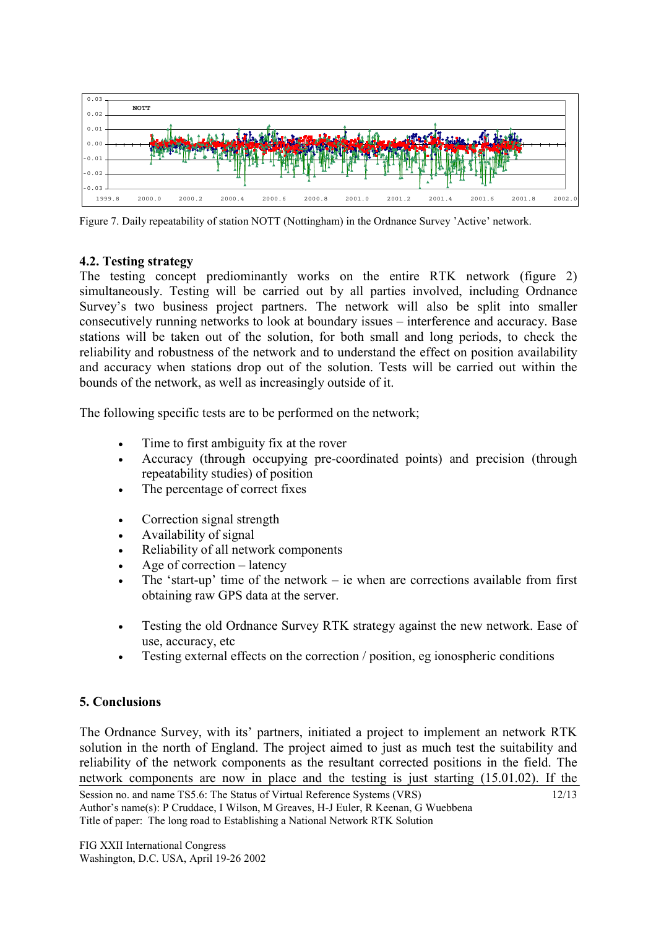

Figure 7. Daily repeatability of station NOTT (Nottingham) in the Ordnance Survey 'Active' network.

## **4.2. Testing strategy**

The testing concept prediominantly works on the entire RTK network (figure 2) simultaneously. Testing will be carried out by all parties involved, including Ordnance Survey's two business project partners. The network will also be split into smaller consecutively running networks to look at boundary issues – interference and accuracy. Base stations will be taken out of the solution, for both small and long periods, to check the reliability and robustness of the network and to understand the effect on position availability and accuracy when stations drop out of the solution. Tests will be carried out within the bounds of the network, as well as increasingly outside of it.

The following specific tests are to be performed on the network;

- Time to first ambiguity fix at the rover
- Accuracy (through occupying pre-coordinated points) and precision (through repeatability studies) of position
- The percentage of correct fixes
- Correction signal strength
- Availability of signal
- Reliability of all network components
- Age of correction latency
- The 'start-up' time of the network ie when are corrections available from first obtaining raw GPS data at the server.
- Testing the old Ordnance Survey RTK strategy against the new network. Ease of use, accuracy, etc
- Testing external effects on the correction / position, eg ionospheric conditions

# **5. Conclusions**

The Ordnance Survey, with its' partners, initiated a project to implement an network RTK solution in the north of England. The project aimed to just as much test the suitability and reliability of the network components as the resultant corrected positions in the field. The network components are now in place and the testing is just starting (15.01.02). If the

12/13